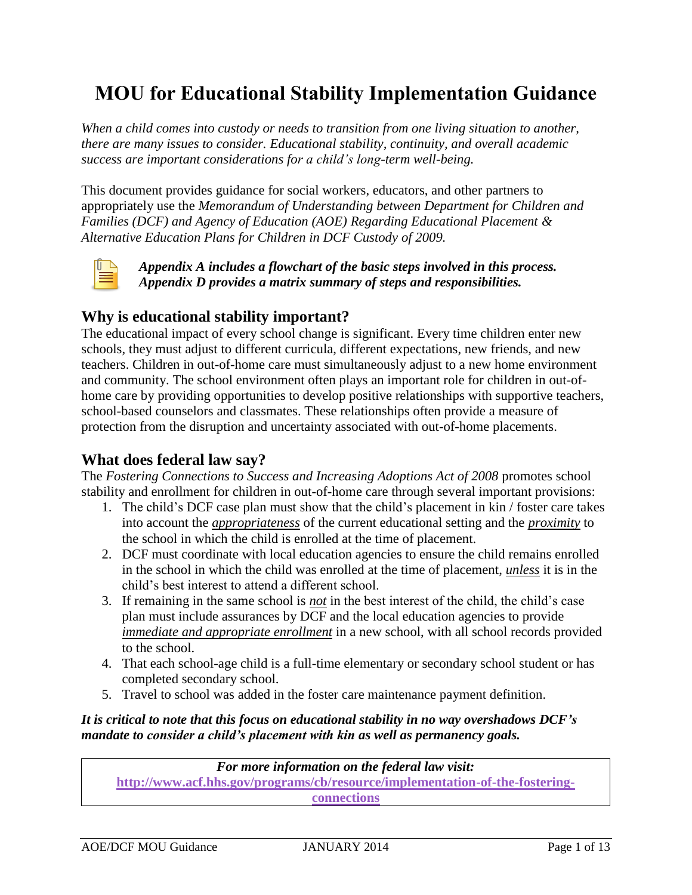# **MOU for Educational Stability Implementation Guidance**

*When a child comes into custody or needs to transition from one living situation to another, there are many issues to consider. Educational stability, continuity, and overall academic success are important considerations for a child's long-term well-being.*

This document provides guidance for social workers, educators, and other partners to appropriately use the *Memorandum of Understanding between Department for Children and Families (DCF) and Agency of Education (AOE) Regarding Educational Placement & Alternative Education Plans for Children in DCF Custody of 2009.*



*Appendix A includes a flowchart of the basic steps involved in this process. Appendix D provides a matrix summary of steps and responsibilities.*

### **Why is educational stability important?**

The educational impact of every school change is significant. Every time children enter new schools, they must adjust to different curricula, different expectations, new friends, and new teachers. Children in out-of-home care must simultaneously adjust to a new home environment and community. The school environment often plays an important role for children in out-ofhome care by providing opportunities to develop positive relationships with supportive teachers, school-based counselors and classmates. These relationships often provide a measure of protection from the disruption and uncertainty associated with out-of-home placements.

# **What does federal law say?**

The *Fostering Connections to Success and Increasing Adoptions Act of 2008* promotes school stability and enrollment for children in out-of-home care through several important provisions:

- 1. The child's DCF case plan must show that the child's placement in kin / foster care takes into account the *appropriateness* of the current educational setting and the *proximity* to the school in which the child is enrolled at the time of placement.
- 2. DCF must coordinate with local education agencies to ensure the child remains enrolled in the school in which the child was enrolled at the time of placement, *unless* it is in the child's best interest to attend a different school.
- 3. If remaining in the same school is *not* in the best interest of the child, the child's case plan must include assurances by DCF and the local education agencies to provide *immediate and appropriate enrollment* in a new school, with all school records provided to the school.
- 4. That each school-age child is a full-time elementary or secondary school student or has completed secondary school.
- 5. Travel to school was added in the foster care maintenance payment definition.

### *It is critical to note that this focus on educational stability in no way overshadows DCF's mandate to consider a child's placement with kin as well as permanency goals.*

*For more information on the federal law visit:*  **[http://www.acf.hhs.gov/programs/cb/resource/implementation-of-the-fostering](http://www.acf.hhs.gov/programs/cb/resource/implementation-of-the-fostering-connections)[connections](http://www.acf.hhs.gov/programs/cb/resource/implementation-of-the-fostering-connections)**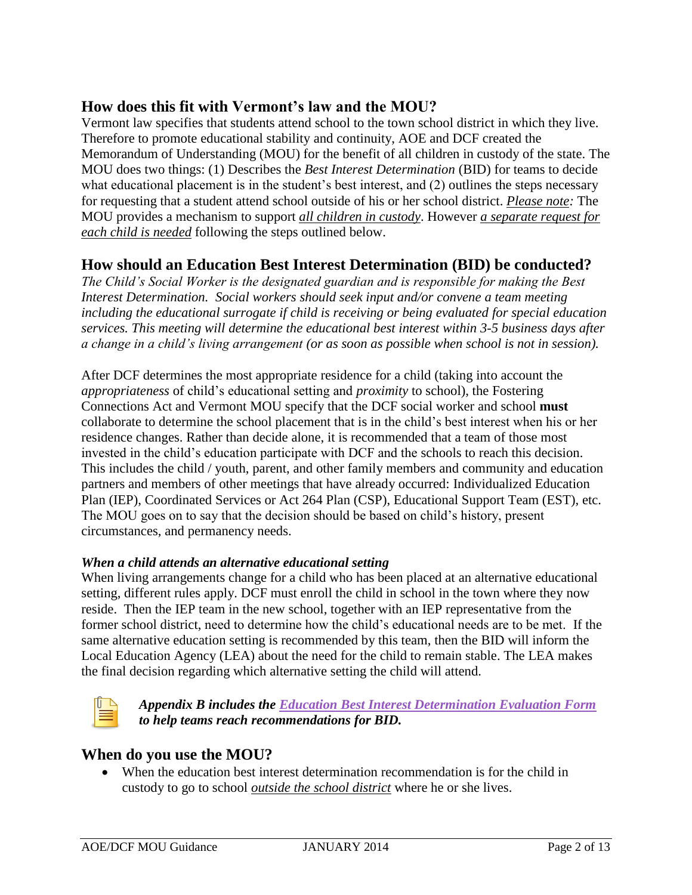# **How does this fit with Vermont's law and the MOU?**

Vermont law specifies that students attend school to the town school district in which they live. Therefore to promote educational stability and continuity, AOE and DCF created the Memorandum of Understanding (MOU) for the benefit of all children in custody of the state. The MOU does two things: (1) Describes the *Best Interest Determination* (BID) for teams to decide what educational placement is in the student's best interest, and (2) outlines the steps necessary for requesting that a student attend school outside of his or her school district. *Please note:* The MOU provides a mechanism to support *all children in custody*. However *a separate request for each child is needed* following the steps outlined below.

## **How should an Education Best Interest Determination (BID) be conducted?**

*The Child's Social Worker is the designated guardian and is responsible for making the Best Interest Determination. Social workers should seek input and/or convene a team meeting including the educational surrogate if child is receiving or being evaluated for special education services. This meeting will determine the educational best interest within 3-5 business days after a change in a child's living arrangement (or as soon as possible when school is not in session).* 

After DCF determines the most appropriate residence for a child (taking into account the *appropriateness* of child's educational setting and *proximity* to school), the Fostering Connections Act and Vermont MOU specify that the DCF social worker and school **must**  collaborate to determine the school placement that is in the child's best interest when his or her residence changes. Rather than decide alone, it is recommended that a team of those most invested in the child's education participate with DCF and the schools to reach this decision. This includes the child / youth, parent, and other family members and community and education partners and members of other meetings that have already occurred: Individualized Education Plan (IEP), Coordinated Services or Act 264 Plan (CSP), Educational Support Team (EST), etc. The MOU goes on to say that the decision should be based on child's history, present circumstances, and permanency needs.

#### *When a child attends an alternative educational setting*

When living arrangements change for a child who has been placed at an alternative educational setting, different rules apply. DCF must enroll the child in school in the town where they now reside. Then the IEP team in the new school, together with an IEP representative from the former school district, need to determine how the child's educational needs are to be met. If the same alternative education setting is recommended by this team, then the BID will inform the Local Education Agency (LEA) about the need for the child to remain stable. The LEA makes the final decision regarding which alternative setting the child will attend.



*Appendix B includes the [Education Best Interest Determination Evaluation Form](#page-6-0) to help teams reach recommendations for BID.*

### **When do you use the MOU?**

 When the education best interest determination recommendation is for the child in custody to go to school *outside the school district* where he or she lives.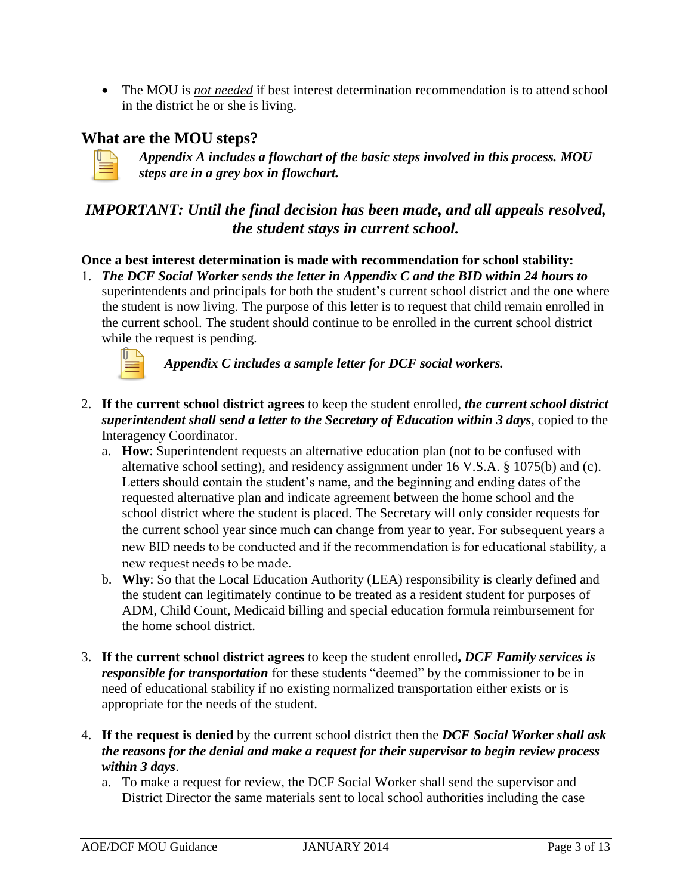The MOU is *not needed* if best interest determination recommendation is to attend school in the district he or she is living.

## **What are the MOU steps?**



*Appendix A includes a flowchart of the basic steps involved in this process. MOU steps are in a grey box in flowchart.*

# *IMPORTANT: Until the final decision has been made, and all appeals resolved, the student stays in current school.*

#### **Once a best interest determination is made with recommendation for school stability:**

1. *The DCF Social Worker sends the letter in Appendix C and the BID within 24 hours to* superintendents and principals for both the student's current school district and the one where the student is now living. The purpose of this letter is to request that child remain enrolled in the current school. The student should continue to be enrolled in the current school district while the request is pending.



*Appendix C includes a sample letter for DCF social workers.*

- 2. **If the current school district agrees** to keep the student enrolled, *the current school district superintendent shall send a letter to the Secretary of Education within 3 days*, copied to the Interagency Coordinator.
	- a. **How**: Superintendent requests an alternative education plan (not to be confused with alternative school setting), and residency assignment under 16 V.S.A. § 1075(b) and (c). Letters should contain the student's name, and the beginning and ending dates of the requested alternative plan and indicate agreement between the home school and the school district where the student is placed. The Secretary will only consider requests for the current school year since much can change from year to year. For subsequent years a new BID needs to be conducted and if the recommendation is for educational stability, a new request needs to be made.
	- b. **Why**: So that the Local Education Authority (LEA) responsibility is clearly defined and the student can legitimately continue to be treated as a resident student for purposes of ADM, Child Count, Medicaid billing and special education formula reimbursement for the home school district.
- 3. **If the current school district agrees** to keep the student enrolled**,** *DCF Family services is responsible for transportation* for these students "deemed" by the commissioner to be in need of educational stability if no existing normalized transportation either exists or is appropriate for the needs of the student.
- 4. **If the request is denied** by the current school district then the *DCF Social Worker shall ask the reasons for the denial and make a request for their supervisor to begin review process within 3 days*.
	- a. To make a request for review, the DCF Social Worker shall send the supervisor and District Director the same materials sent to local school authorities including the case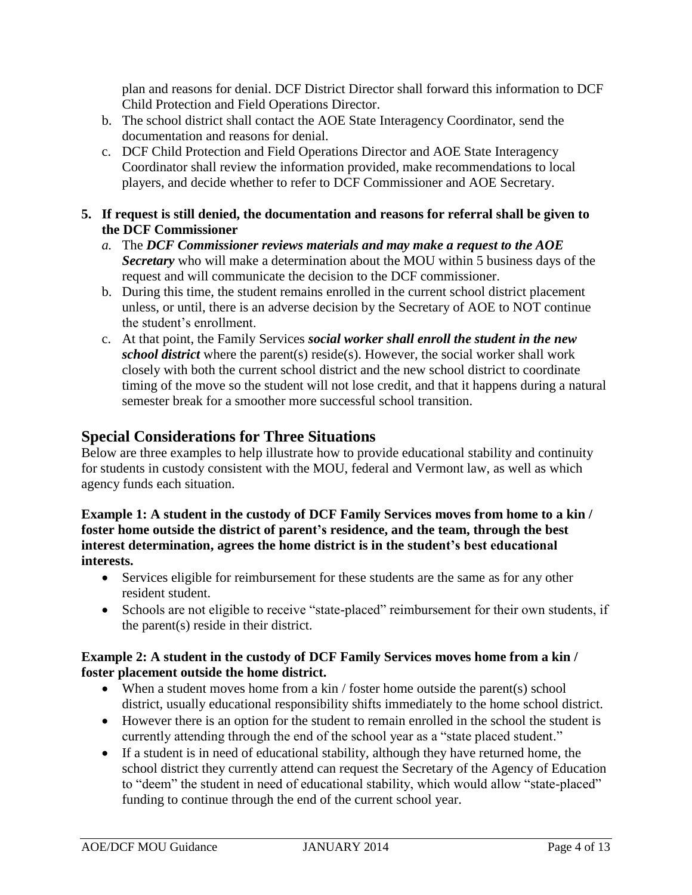plan and reasons for denial. DCF District Director shall forward this information to DCF Child Protection and Field Operations Director.

- b. The school district shall contact the AOE State Interagency Coordinator, send the documentation and reasons for denial.
- c. DCF Child Protection and Field Operations Director and AOE State Interagency Coordinator shall review the information provided, make recommendations to local players, and decide whether to refer to DCF Commissioner and AOE Secretary.
- **5. If request is still denied, the documentation and reasons for referral shall be given to the DCF Commissioner**
	- *a.* The *DCF Commissioner reviews materials and may make a request to the AOE Secretary* who will make a determination about the MOU within 5 business days of the request and will communicate the decision to the DCF commissioner.
	- b. During this time, the student remains enrolled in the current school district placement unless, or until, there is an adverse decision by the Secretary of AOE to NOT continue the student's enrollment.
	- c. At that point, the Family Services *social worker shall enroll the student in the new school district* where the parent(s) reside(s). However, the social worker shall work closely with both the current school district and the new school district to coordinate timing of the move so the student will not lose credit, and that it happens during a natural semester break for a smoother more successful school transition.

# **Special Considerations for Three Situations**

Below are three examples to help illustrate how to provide educational stability and continuity for students in custody consistent with the MOU, federal and Vermont law, as well as which agency funds each situation.

#### **Example 1: A student in the custody of DCF Family Services moves from home to a kin / foster home outside the district of parent's residence, and the team, through the best interest determination, agrees the home district is in the student's best educational interests.**

- Services eligible for reimbursement for these students are the same as for any other resident student.
- Schools are not eligible to receive "state-placed" reimbursement for their own students, if the parent(s) reside in their district.

#### **Example 2: A student in the custody of DCF Family Services moves home from a kin / foster placement outside the home district.**

- When a student moves home from a kin / foster home outside the parent(s) school district, usually educational responsibility shifts immediately to the home school district.
- However there is an option for the student to remain enrolled in the school the student is currently attending through the end of the school year as a "state placed student."
- If a student is in need of educational stability, although they have returned home, the school district they currently attend can request the Secretary of the Agency of Education to "deem" the student in need of educational stability, which would allow "state-placed" funding to continue through the end of the current school year.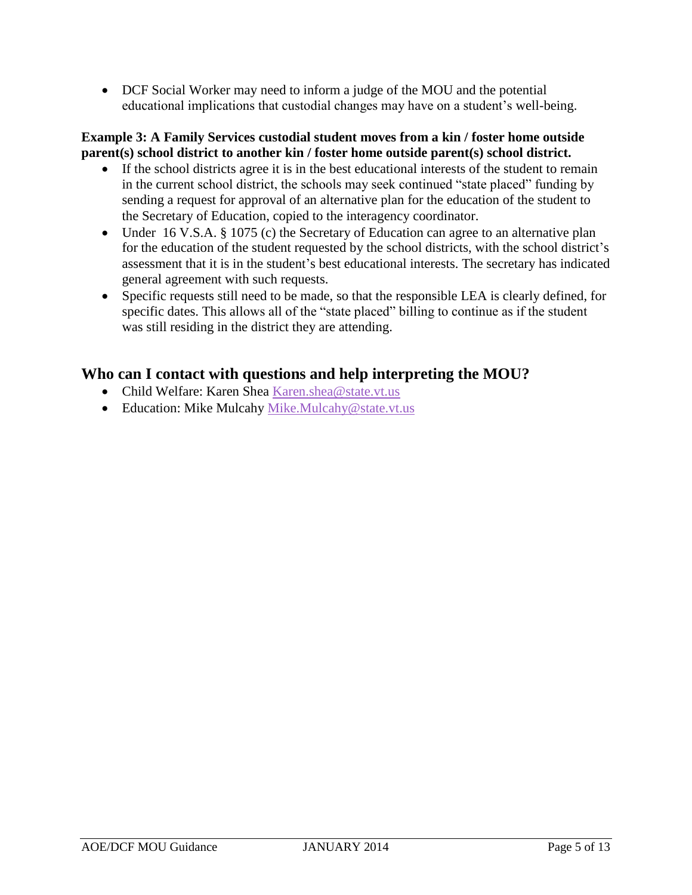DCF Social Worker may need to inform a judge of the MOU and the potential educational implications that custodial changes may have on a student's well-being.

#### **Example 3: A Family Services custodial student moves from a kin / foster home outside parent(s) school district to another kin / foster home outside parent(s) school district.**

- If the school districts agree it is in the best educational interests of the student to remain in the current school district, the schools may seek continued "state placed" funding by sending a request for approval of an alternative plan for the education of the student to the Secretary of Education, copied to the interagency coordinator.
- Under [16 V.S.A. § 1075 \(c\)](http://www.leg.state.vt.us/statutes/fullsection.cfm?Title=16&Chapter=025&Section=01075) the Secretary of Education can agree to an alternative plan for the education of the student requested by the school districts, with the school district's assessment that it is in the student's best educational interests. The secretary has indicated general agreement with such requests.
- Specific requests still need to be made, so that the responsible LEA is clearly defined, for specific dates. This allows all of the "state placed" billing to continue as if the student was still residing in the district they are attending.

# **Who can I contact with questions and help interpreting the MOU?**

- Child Welfare: Karen Shea [Karen.shea@state.vt.us](mailto:Karen.shea@state.vt.us)
- Education: Mike Mulcahy [Mike.Mulcahy@state.vt.us](mailto:Mike.Mulcahy@state.vt.us)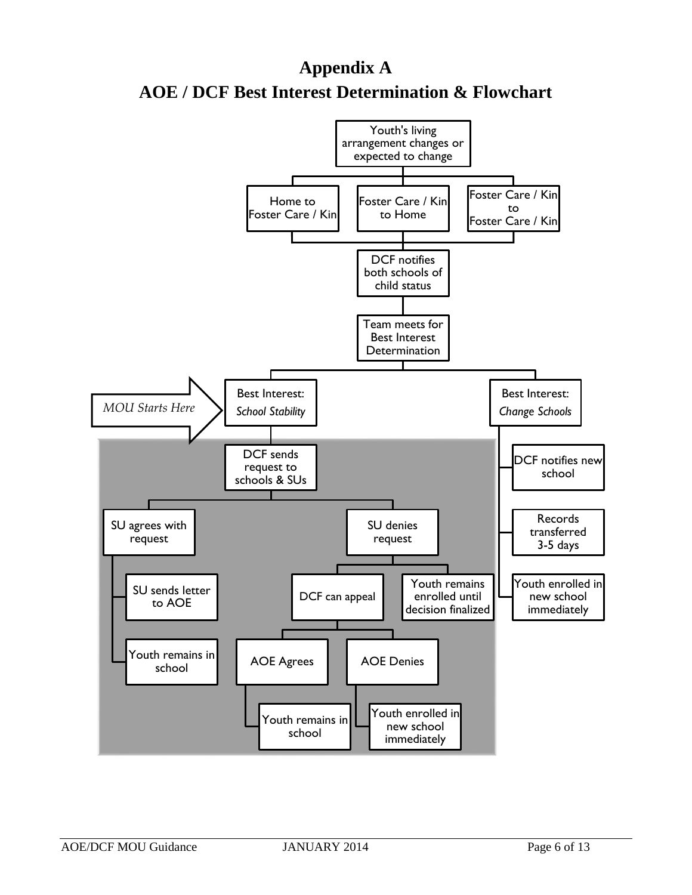# **Appendix A AOE / DCF Best Interest Determination & Flowchart**

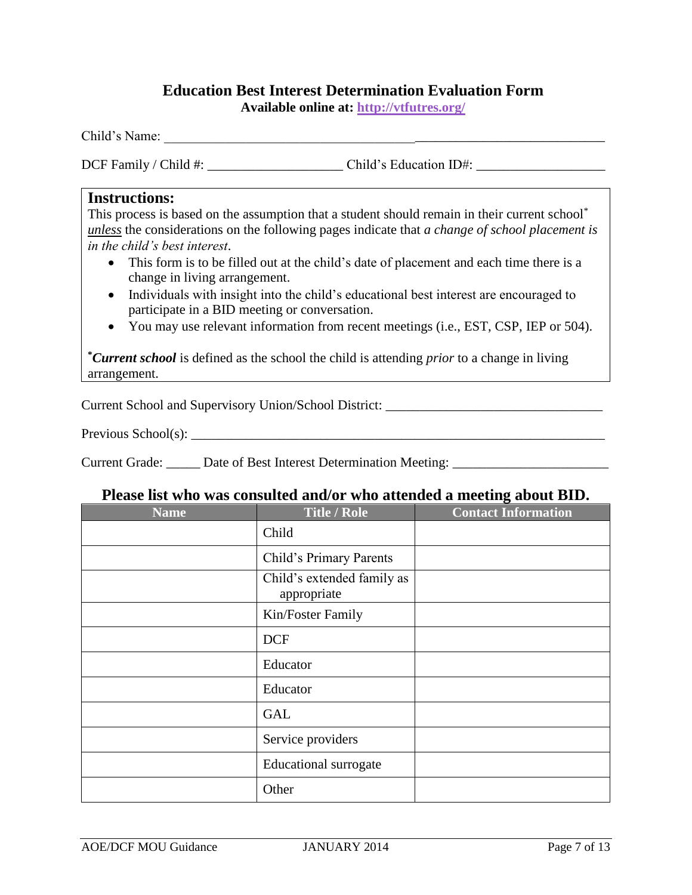## **Education Best Interest Determination Evaluation Form**

**Available online at: [http://vtfutres.org/](http://vtfutres.org/wp-content/uploads/2013/10/Fillable-BID-Form.pdf)**

<span id="page-6-0"></span>Child's Name: \_\_\_\_\_\_\_\_\_\_\_\_\_\_\_\_\_\_\_\_\_\_\_\_\_\_\_\_\_\_\_\_\_\_\_\_\_\_\_\_\_\_\_\_\_\_\_\_\_\_\_\_\_\_\_\_\_\_\_\_\_\_\_\_\_

DCF Family / Child #: <br>Child's Education ID#:

#### **Instructions:**

This process is based on the assumption that a student should remain in their current school<sup>\*</sup> *unless* the considerations on the following pages indicate that *a change of school placement is in the child's best interest*.

- This form is to be filled out at the child's date of placement and each time there is a change in living arrangement.
- Individuals with insight into the child's educational best interest are encouraged to participate in a BID meeting or conversation.
- You may use relevant information from recent meetings (i.e., EST, CSP, IEP or 504).

**\****Current school* is defined as the school the child is attending *prior* to a change in living arrangement.

Current School and Supervisory Union/School District: \_\_\_\_\_\_\_\_\_\_\_\_\_\_\_\_\_\_\_\_\_\_\_\_\_\_

Previous School(s): \_\_\_\_\_\_\_\_\_\_\_\_\_\_\_\_\_\_\_\_\_\_\_\_\_\_\_\_\_\_\_\_\_\_\_\_\_\_\_\_\_\_\_\_\_\_\_\_\_\_\_\_\_\_\_\_\_\_\_\_\_

Current Grade: \_\_\_\_\_\_ Date of Best Interest Determination Meeting: \_\_\_\_\_\_\_\_\_\_\_\_\_\_\_\_\_\_\_\_\_\_\_\_\_\_\_\_\_\_\_\_\_

#### **Please list who was consulted and/or who attended a meeting about BID.**

| <b>Name</b> | <b>Title / Role</b>                       | <b>Contact Information</b> |  |
|-------------|-------------------------------------------|----------------------------|--|
|             | Child                                     |                            |  |
|             | Child's Primary Parents                   |                            |  |
|             | Child's extended family as<br>appropriate |                            |  |
|             | Kin/Foster Family                         |                            |  |
|             | <b>DCF</b>                                |                            |  |
|             | Educator                                  |                            |  |
|             | Educator                                  |                            |  |
|             | <b>GAL</b>                                |                            |  |
|             | Service providers                         |                            |  |
|             | <b>Educational surrogate</b>              |                            |  |
|             | Other                                     |                            |  |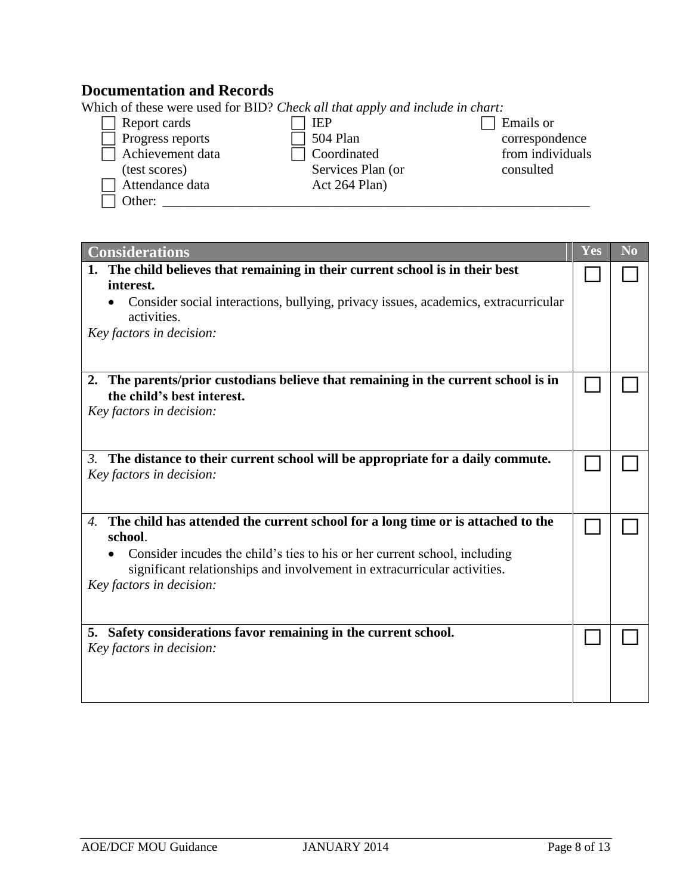# **Documentation and Records**

Which of these were used for BID? *Check all that apply and include in chart:* 

| Report cards     | <b>IEP</b>        | Emails or        |
|------------------|-------------------|------------------|
| Progress reports | 504 Plan          | correspondence   |
| Achievement data | Coordinated       | from individuals |
| (test scores)    | Services Plan (or | consulted        |
| Attendance data  | Act 264 Plan)     |                  |
| Other:           |                   |                  |

| <b>Considerations</b>                                                                                                                                                             | $\overline{\mathbf{Yes}}$ | N <sub>0</sub> |
|-----------------------------------------------------------------------------------------------------------------------------------------------------------------------------------|---------------------------|----------------|
| 1. The child believes that remaining in their current school is in their best<br>interest.                                                                                        |                           |                |
| Consider social interactions, bullying, privacy issues, academics, extracurricular<br>activities.                                                                                 |                           |                |
| Key factors in decision:                                                                                                                                                          |                           |                |
| 2. The parents/prior custodians believe that remaining in the current school is in<br>the child's best interest.                                                                  |                           |                |
| Key factors in decision:                                                                                                                                                          |                           |                |
| The distance to their current school will be appropriate for a daily commute.<br>3.<br>Key factors in decision:                                                                   |                           |                |
| The child has attended the current school for a long time or is attached to the<br>4.<br>school.                                                                                  |                           |                |
| Consider incudes the child's ties to his or her current school, including<br>significant relationships and involvement in extracurricular activities.<br>Key factors in decision: |                           |                |
|                                                                                                                                                                                   |                           |                |
| Safety considerations favor remaining in the current school.<br>5.<br>Key factors in decision:                                                                                    |                           |                |
|                                                                                                                                                                                   |                           |                |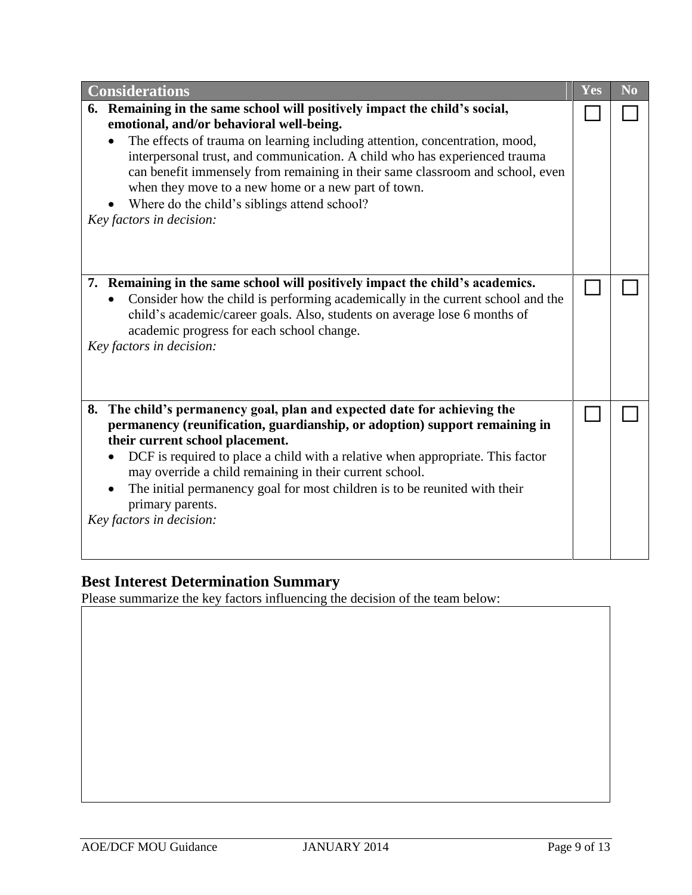| <b>Considerations</b>                                                                                                                                                                                                                                                                                                                                                                                                                                                                                   |  |  |
|---------------------------------------------------------------------------------------------------------------------------------------------------------------------------------------------------------------------------------------------------------------------------------------------------------------------------------------------------------------------------------------------------------------------------------------------------------------------------------------------------------|--|--|
| 6. Remaining in the same school will positively impact the child's social,<br>emotional, and/or behavioral well-being.<br>The effects of trauma on learning including attention, concentration, mood,<br>interpersonal trust, and communication. A child who has experienced trauma<br>can benefit immensely from remaining in their same classroom and school, even<br>when they move to a new home or a new part of town.<br>Where do the child's siblings attend school?<br>Key factors in decision: |  |  |
| 7. Remaining in the same school will positively impact the child's academics.<br>Consider how the child is performing academically in the current school and the<br>child's academic/career goals. Also, students on average lose 6 months of<br>academic progress for each school change.<br>Key factors in decision:                                                                                                                                                                                  |  |  |
| 8. The child's permanency goal, plan and expected date for achieving the<br>permanency (reunification, guardianship, or adoption) support remaining in<br>their current school placement.<br>DCF is required to place a child with a relative when appropriate. This factor<br>may override a child remaining in their current school.<br>The initial permanency goal for most children is to be reunited with their<br>primary parents.<br>Key factors in decision:                                    |  |  |

## **Best Interest Determination Summary**

Please summarize the key factors influencing the decision of the team below: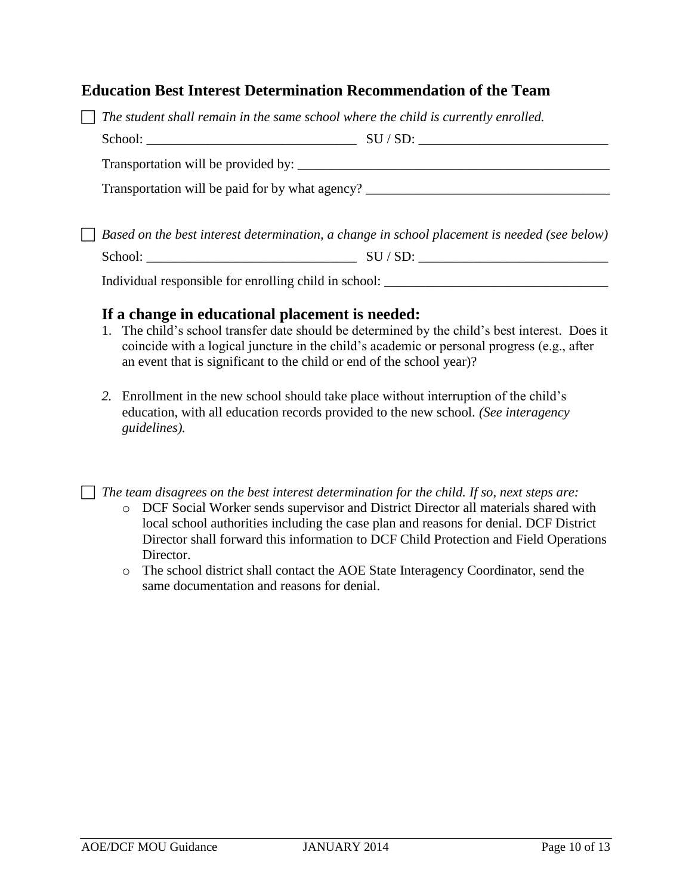## **Education Best Interest Determination Recommendation of the Team**

| $\Box$ The student shall remain in the same school where the child is currently enrolled. |  |                                                                                                     |  |
|-------------------------------------------------------------------------------------------|--|-----------------------------------------------------------------------------------------------------|--|
|                                                                                           |  |                                                                                                     |  |
|                                                                                           |  |                                                                                                     |  |
|                                                                                           |  | Transportation will be paid for by what agency?                                                     |  |
|                                                                                           |  |                                                                                                     |  |
|                                                                                           |  | $\Box$ Based on the best interest determination, a change in school placement is needed (see below) |  |

 $School:$   $\qquad \qquad \qquad \qquad \qquad \qquad \qquad \qquad \text{SU}/\text{SD:}$   $\qquad \qquad \qquad \qquad \qquad \qquad \qquad \qquad \qquad \qquad \text{SU}/\text{SD:}$ 

Individual responsible for enrolling child in school:

#### **If a change in educational placement is needed:**

- 1. The child's school transfer date should be determined by the child's best interest. Does it coincide with a logical juncture in the child's academic or personal progress (e.g., after an event that is significant to the child or end of the school year)?
- *2.* Enrollment in the new school should take place without interruption of the child's education, with all education records provided to the new school. *(See interagency guidelines).*

*The team disagrees on the best interest determination for the child. If so, next steps are:*

- o DCF Social Worker sends supervisor and District Director all materials shared with local school authorities including the case plan and reasons for denial. DCF District Director shall forward this information to DCF Child Protection and Field Operations Director.
- o The school district shall contact the AOE State Interagency Coordinator, send the same documentation and reasons for denial.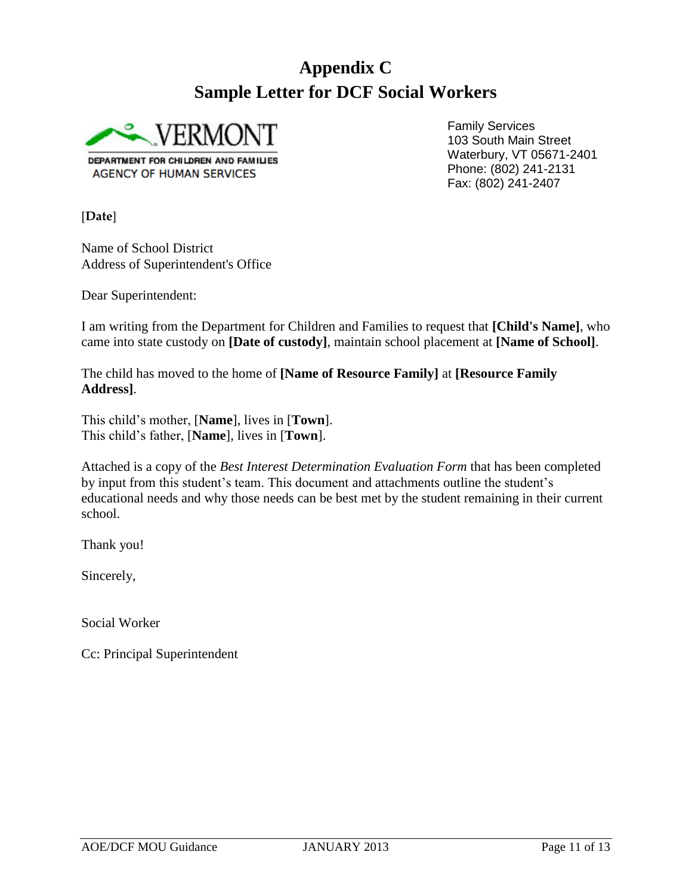# **Appendix C Sample Letter for DCF Social Workers**



Family Services 103 South Main Street Waterbury, VT 05671-2401 Phone: (802) 241-2131 Fax: (802) 241-2407

[**Date**]

Name of School District Address of Superintendent's Office

Dear Superintendent:

I am writing from the Department for Children and Families to request that **[Child's Name]**, who came into state custody on **[Date of custody]**, maintain school placement at **[Name of School]**.

The child has moved to the home of **[Name of Resource Family]** at **[Resource Family Address]**.

This child's mother, [**Name**], lives in [**Town**]. This child's father, [**Name**], lives in [**Town**].

Attached is a copy of the *Best Interest Determination Evaluation Form* that has been completed by input from this student's team. This document and attachments outline the student's educational needs and why those needs can be best met by the student remaining in their current school.

Thank you!

Sincerely,

Social Worker

Cc: Principal Superintendent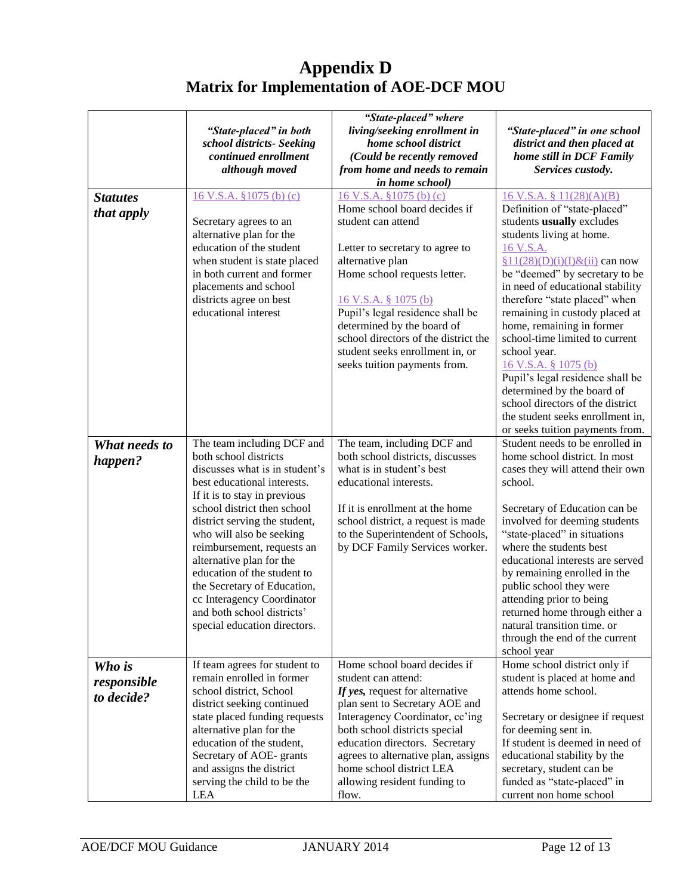# **Appendix D Matrix for Implementation of AOE-DCF MOU**

|                                     | "State-placed" in both<br>school districts- Seeking<br>continued enrollment<br>although moved                                                                                                                                                                                                                                                                                                                                                                        | "State-placed" where<br>living/seeking enrollment in<br>home school district<br>(Could be recently removed<br>from home and needs to remain<br>in home school)                                                                                                                                                                                                            | "State-placed" in one school<br>district and then placed at<br>home still in DCF Family<br>Services custody.                                                                                                                                                                                                                                                                                                                                                                                                                                                       |
|-------------------------------------|----------------------------------------------------------------------------------------------------------------------------------------------------------------------------------------------------------------------------------------------------------------------------------------------------------------------------------------------------------------------------------------------------------------------------------------------------------------------|---------------------------------------------------------------------------------------------------------------------------------------------------------------------------------------------------------------------------------------------------------------------------------------------------------------------------------------------------------------------------|--------------------------------------------------------------------------------------------------------------------------------------------------------------------------------------------------------------------------------------------------------------------------------------------------------------------------------------------------------------------------------------------------------------------------------------------------------------------------------------------------------------------------------------------------------------------|
| <b>Statutes</b><br>that apply       | 16 V.S.A. §1075 (b) (c)<br>Secretary agrees to an<br>alternative plan for the<br>education of the student<br>when student is state placed<br>in both current and former<br>placements and school<br>districts agree on best<br>educational interest                                                                                                                                                                                                                  | 16 V.S.A. §1075 (b) (c)<br>Home school board decides if<br>student can attend<br>Letter to secretary to agree to<br>alternative plan<br>Home school requests letter.<br>16 V.S.A. § 1075 (b)<br>Pupil's legal residence shall be<br>determined by the board of<br>school directors of the district the<br>student seeks enrollment in, or<br>seeks tuition payments from. | $16$ V.S.A. § $11(28)(A)(B)$<br>Definition of "state-placed"<br>students usually excludes<br>students living at home.<br>16 V.S.A.<br>$§11(28)(D)(i)(I) \& (ii)$ can now<br>be "deemed" by secretary to be<br>in need of educational stability<br>therefore "state placed" when<br>remaining in custody placed at<br>home, remaining in former<br>school-time limited to current<br>school year.<br>16 V.S.A. § 1075 (b)<br>Pupil's legal residence shall be<br>determined by the board of<br>school directors of the district<br>the student seeks enrollment in, |
| What needs to<br>happen?            | The team including DCF and<br>both school districts<br>discusses what is in student's<br>best educational interests.<br>If it is to stay in previous<br>school district then school<br>district serving the student,<br>who will also be seeking<br>reimbursement, requests an<br>alternative plan for the<br>education of the student to<br>the Secretary of Education,<br>cc Interagency Coordinator<br>and both school districts'<br>special education directors. | The team, including DCF and<br>both school districts, discusses<br>what is in student's best<br>educational interests.<br>If it is enrollment at the home<br>school district, a request is made<br>to the Superintendent of Schools,<br>by DCF Family Services worker.                                                                                                    | or seeks tuition payments from.<br>Student needs to be enrolled in<br>home school district. In most<br>cases they will attend their own<br>school.<br>Secretary of Education can be<br>involved for deeming students<br>"state-placed" in situations<br>where the students best<br>educational interests are served<br>by remaining enrolled in the<br>public school they were<br>attending prior to being<br>returned home through either a<br>natural transition time. or<br>through the end of the current<br>school year                                       |
| Who is<br>responsible<br>to decide? | If team agrees for student to<br>remain enrolled in former<br>school district, School<br>district seeking continued<br>state placed funding requests<br>alternative plan for the<br>education of the student,<br>Secretary of AOE- grants<br>and assigns the district<br>serving the child to be the<br>LEA                                                                                                                                                          | Home school board decides if<br>student can attend:<br>If yes, request for alternative<br>plan sent to Secretary AOE and<br>Interagency Coordinator, cc'ing<br>both school districts special<br>education directors. Secretary<br>agrees to alternative plan, assigns<br>home school district LEA<br>allowing resident funding to<br>flow.                                | Home school district only if<br>student is placed at home and<br>attends home school.<br>Secretary or designee if request<br>for deeming sent in.<br>If student is deemed in need of<br>educational stability by the<br>secretary, student can be<br>funded as "state-placed" in<br>current non home school                                                                                                                                                                                                                                                        |